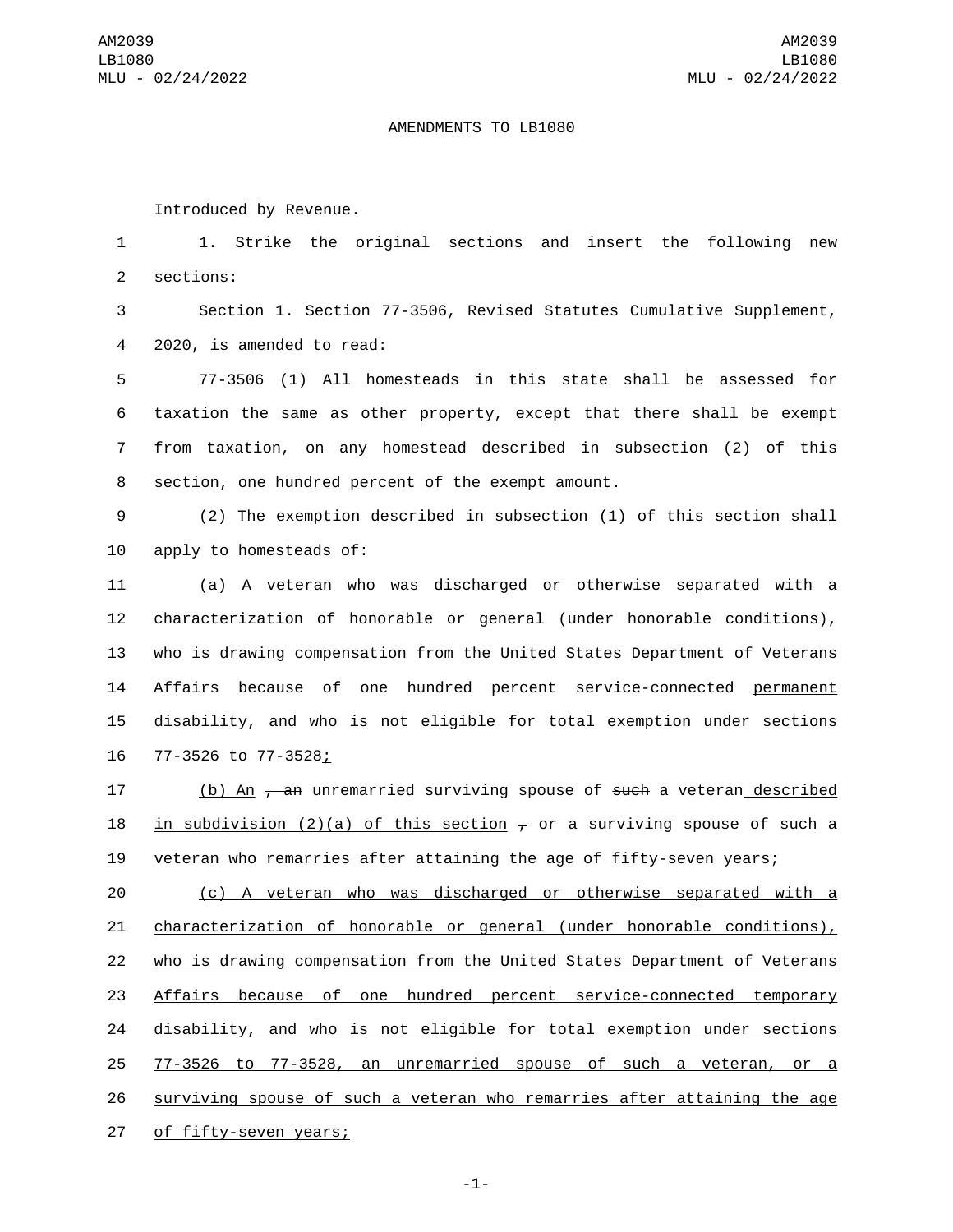## AMENDMENTS TO LB1080

Introduced by Revenue.

1 1. Strike the original sections and insert the following new 2 sections:

3 Section 1. Section 77-3506, Revised Statutes Cumulative Supplement, 2020, is amended to read:4

 77-3506 (1) All homesteads in this state shall be assessed for taxation the same as other property, except that there shall be exempt from taxation, on any homestead described in subsection (2) of this 8 section, one hundred percent of the exempt amount.

9 (2) The exemption described in subsection (1) of this section shall 10 apply to homesteads of:

 (a) A veteran who was discharged or otherwise separated with a characterization of honorable or general (under honorable conditions), who is drawing compensation from the United States Department of Veterans Affairs because of one hundred percent service-connected permanent disability, and who is not eligible for total exemption under sections 16 77-3526 to 77-3528<u>;</u>

17 (b) An <del>, an</del> unremarried surviving spouse of <del>such</del> a veteran described 18 in subdivision (2)(a) of this section  $\tau$  or a surviving spouse of such a 19 veteran who remarries after attaining the age of fifty-seven years;

 (c) A veteran who was discharged or otherwise separated with a characterization of honorable or general (under honorable conditions), who is drawing compensation from the United States Department of Veterans Affairs because of one hundred percent service-connected temporary disability, and who is not eligible for total exemption under sections 77-3526 to 77-3528, an unremarried spouse of such a veteran, or a surviving spouse of such a veteran who remarries after attaining the age 27 of fifty-seven years;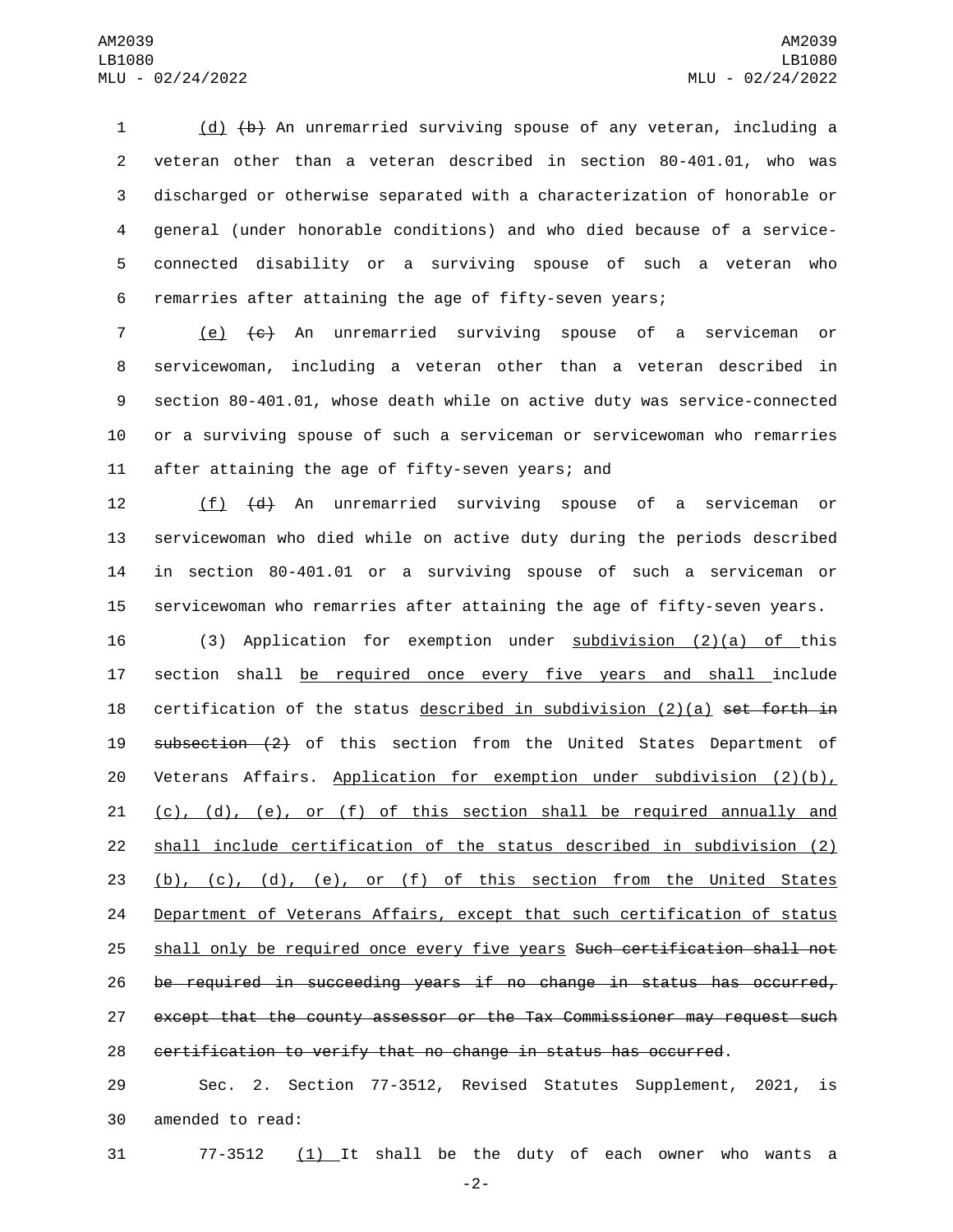(d) (b) An unremarried surviving spouse of any veteran, including a veteran other than a veteran described in section 80-401.01, who was discharged or otherwise separated with a characterization of honorable or general (under honorable conditions) and who died because of a service- connected disability or a surviving spouse of such a veteran who remarries after attaining the age of fifty-seven years;

 (e) (c) An unremarried surviving spouse of a serviceman or servicewoman, including a veteran other than a veteran described in section 80-401.01, whose death while on active duty was service-connected or a surviving spouse of such a serviceman or servicewoman who remarries 11 after attaining the age of fifty-seven years; and

12 (f) (d) An unremarried surviving spouse of a serviceman or servicewoman who died while on active duty during the periods described in section 80-401.01 or a surviving spouse of such a serviceman or servicewoman who remarries after attaining the age of fifty-seven years.

 (3) Application for exemption under subdivision (2)(a) of this section shall be required once every five years and shall include 18 certification of the status described in subdivision  $(2)(a)$  set forth in 19 subsection (2) of this section from the United States Department of Veterans Affairs. Application for exemption under subdivision (2)(b),  $(c)$ ,  $(d)$ ,  $(e)$ , or  $(f)$  of this section shall be required annually and shall include certification of the status described in subdivision (2) (b), (c), (d), (e), or (f) of this section from the United States Department of Veterans Affairs, except that such certification of status 25 shall only be required once every five years Such certification shall not be required in succeeding years if no change in status has occurred, except that the county assessor or the Tax Commissioner may request such certification to verify that no change in status has occurred.

 Sec. 2. Section 77-3512, Revised Statutes Supplement, 2021, is 30 amended to read:

77-3512 (1) It shall be the duty of each owner who wants a

-2-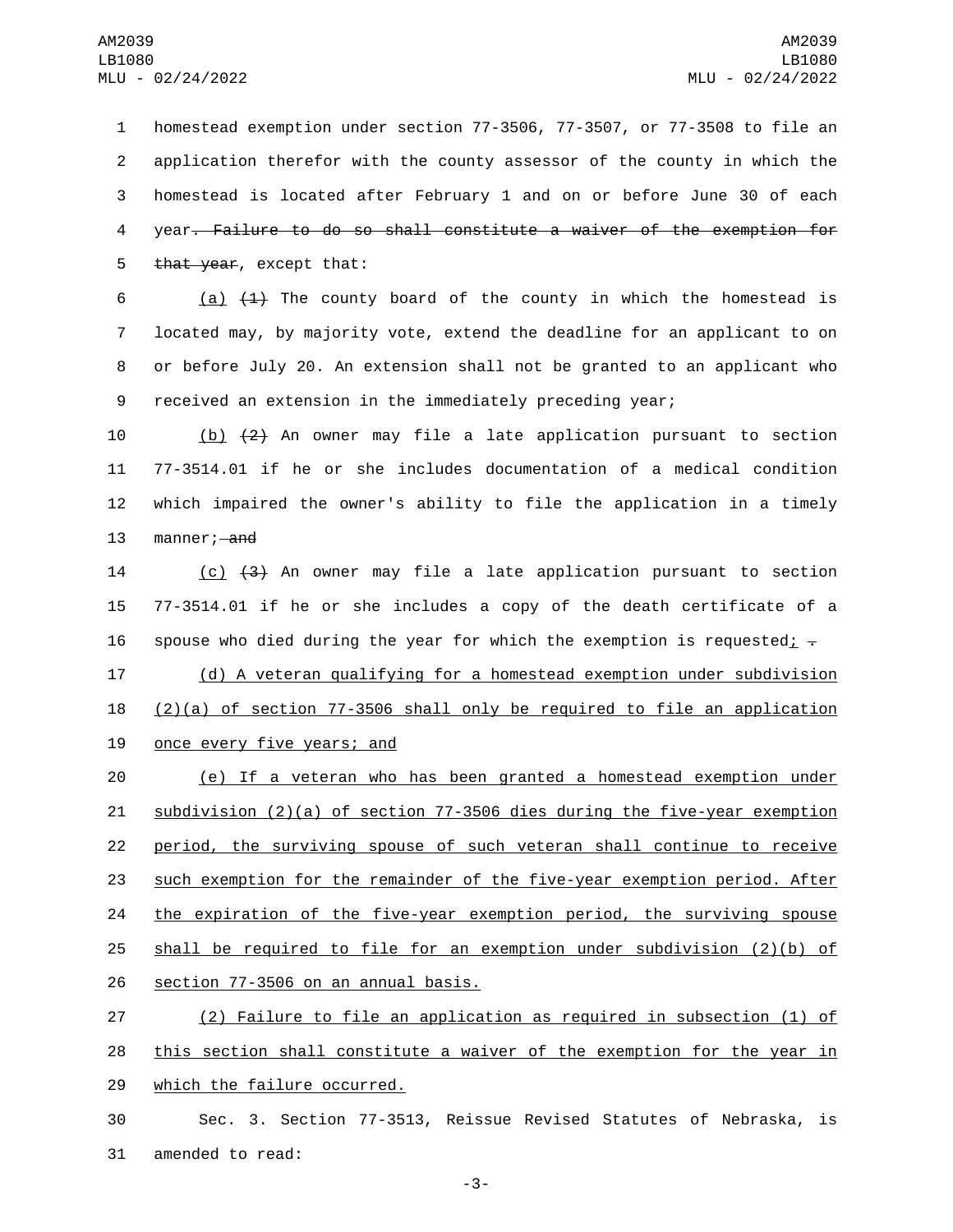homestead exemption under section 77-3506, 77-3507, or 77-3508 to file an application therefor with the county assessor of the county in which the homestead is located after February 1 and on or before June 30 of each year. Failure to do so shall constitute a waiver of the exemption for 5 that year, except that:

 $(a)$   $(1)$  The county board of the county in which the homestead is located may, by majority vote, extend the deadline for an applicant to on or before July 20. An extension shall not be granted to an applicant who received an extension in the immediately preceding year;

 (b) (2) An owner may file a late application pursuant to section 77-3514.01 if he or she includes documentation of a medical condition which impaired the owner's ability to file the application in a timely 13 manner; and

14 (c) (3) An owner may file a late application pursuant to section 15 77-3514.01 if he or she includes a copy of the death certificate of a 16 spouse who died during the year for which the exemption is requested;  $\overline{z}$ 

17 (d) A veteran qualifying for a homestead exemption under subdivision 18  $(2)(a)$  of section 77-3506 shall only be required to file an application 19 once every five years; and

 (e) If a veteran who has been granted a homestead exemption under subdivision (2)(a) of section 77-3506 dies during the five-year exemption period, the surviving spouse of such veteran shall continue to receive such exemption for the remainder of the five-year exemption period. After the expiration of the five-year exemption period, the surviving spouse shall be required to file for an exemption under subdivision (2)(b) of 26 section 77-3506 on an annual basis.

27 (2) Failure to file an application as required in subsection (1) of 28 this section shall constitute a waiver of the exemption for the year in 29 which the failure occurred.

30 Sec. 3. Section 77-3513, Reissue Revised Statutes of Nebraska, is 31 amended to read: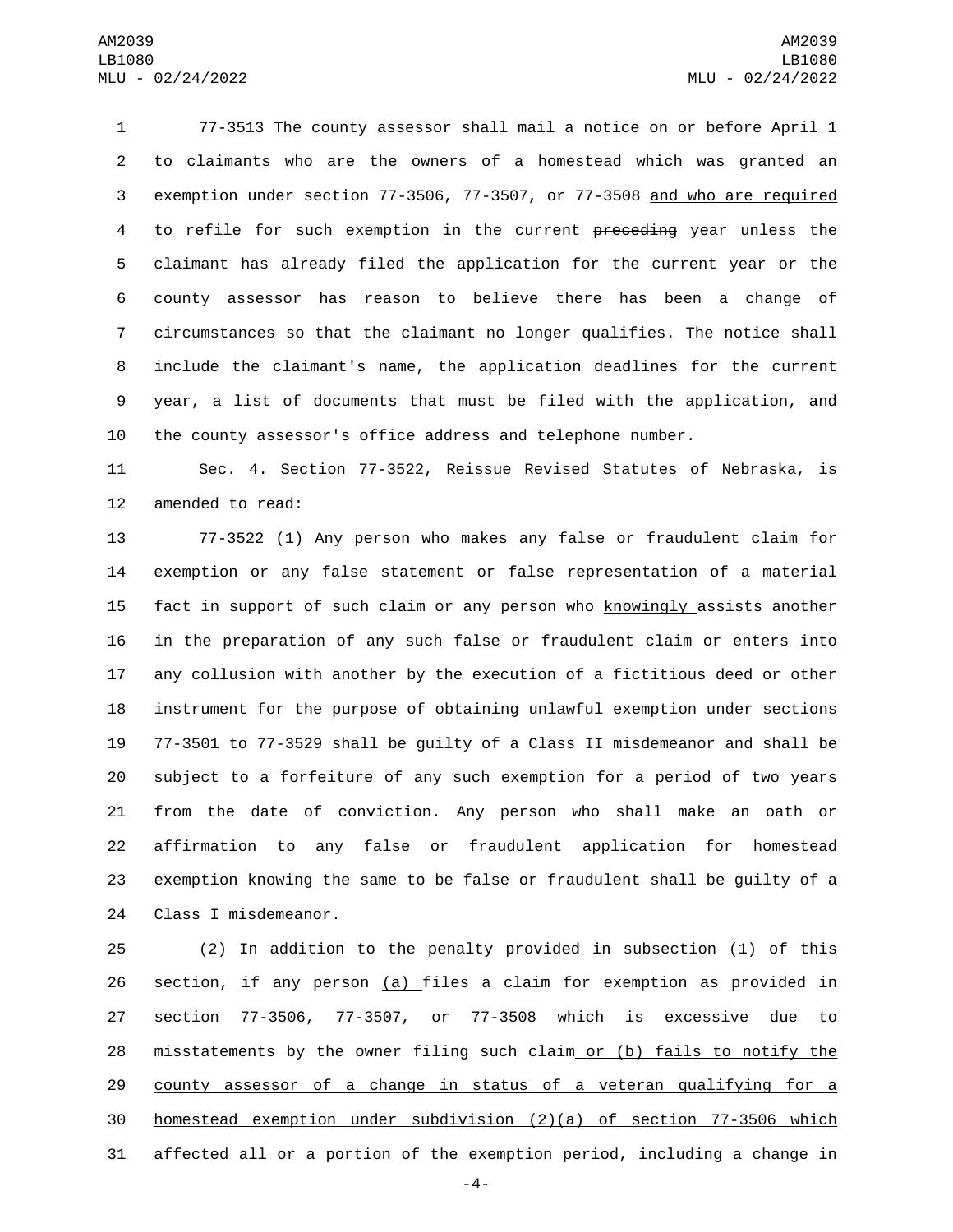77-3513 The county assessor shall mail a notice on or before April 1 to claimants who are the owners of a homestead which was granted an exemption under section 77-3506, 77-3507, or 77-3508 and who are required to refile for such exemption in the current preceding year unless the claimant has already filed the application for the current year or the county assessor has reason to believe there has been a change of circumstances so that the claimant no longer qualifies. The notice shall include the claimant's name, the application deadlines for the current year, a list of documents that must be filed with the application, and the county assessor's office address and telephone number.

 Sec. 4. Section 77-3522, Reissue Revised Statutes of Nebraska, is 12 amended to read:

 77-3522 (1) Any person who makes any false or fraudulent claim for exemption or any false statement or false representation of a material 15 fact in support of such claim or any person who knowingly assists another in the preparation of any such false or fraudulent claim or enters into any collusion with another by the execution of a fictitious deed or other instrument for the purpose of obtaining unlawful exemption under sections 77-3501 to 77-3529 shall be guilty of a Class II misdemeanor and shall be subject to a forfeiture of any such exemption for a period of two years from the date of conviction. Any person who shall make an oath or affirmation to any false or fraudulent application for homestead exemption knowing the same to be false or fraudulent shall be guilty of a 24 Class I misdemeanor.

 (2) In addition to the penalty provided in subsection (1) of this section, if any person (a) files a claim for exemption as provided in section 77-3506, 77-3507, or 77-3508 which is excessive due to misstatements by the owner filing such claim or (b) fails to notify the county assessor of a change in status of a veteran qualifying for a homestead exemption under subdivision (2)(a) of section 77-3506 which affected all or a portion of the exemption period, including a change in

-4-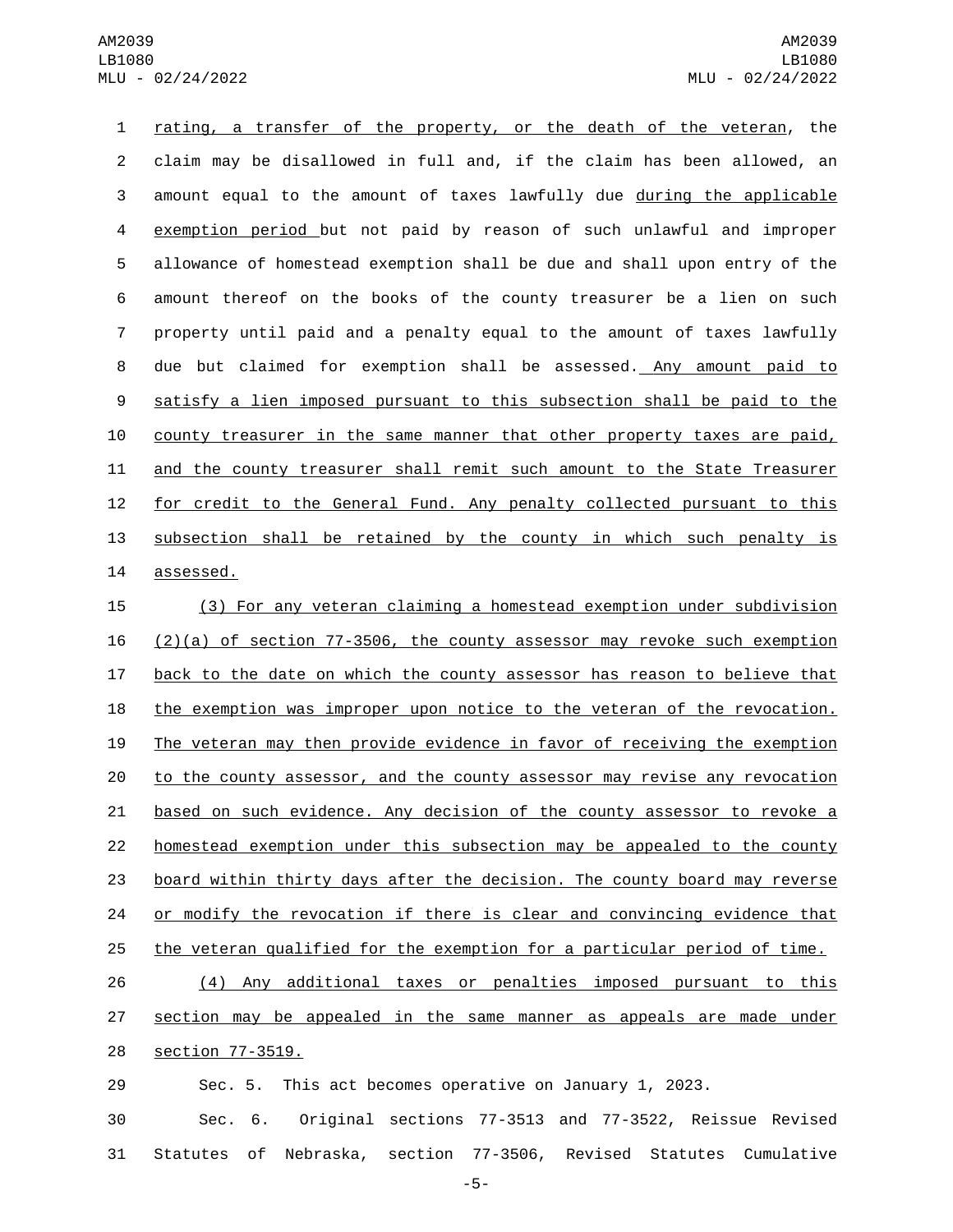AM2039 LB1080 MLU - 02/24/2022

 rating, a transfer of the property, or the death of the veteran, the claim may be disallowed in full and, if the claim has been allowed, an amount equal to the amount of taxes lawfully due during the applicable exemption period but not paid by reason of such unlawful and improper allowance of homestead exemption shall be due and shall upon entry of the amount thereof on the books of the county treasurer be a lien on such property until paid and a penalty equal to the amount of taxes lawfully due but claimed for exemption shall be assessed. Any amount paid to satisfy a lien imposed pursuant to this subsection shall be paid to the county treasurer in the same manner that other property taxes are paid, and the county treasurer shall remit such amount to the State Treasurer 12 for credit to the General Fund. Any penalty collected pursuant to this subsection shall be retained by the county in which such penalty is 14 assessed.

 (3) For any veteran claiming a homestead exemption under subdivision  $(2)(a)$  of section 77-3506, the county assessor may revoke such exemption back to the date on which the county assessor has reason to believe that 18 the exemption was improper upon notice to the veteran of the revocation. The veteran may then provide evidence in favor of receiving the exemption 20 to the county assessor, and the county assessor may revise any revocation based on such evidence. Any decision of the county assessor to revoke a homestead exemption under this subsection may be appealed to the county board within thirty days after the decision. The county board may reverse 24 or modify the revocation if there is clear and convincing evidence that the veteran qualified for the exemption for a particular period of time.

 (4) Any additional taxes or penalties imposed pursuant to this 27 section may be appealed in the same manner as appeals are made under 28 section 77-3519.

Sec. 5. This act becomes operative on January 1, 2023.

 Sec. 6. Original sections 77-3513 and 77-3522, Reissue Revised Statutes of Nebraska, section 77-3506, Revised Statutes Cumulative

-5-